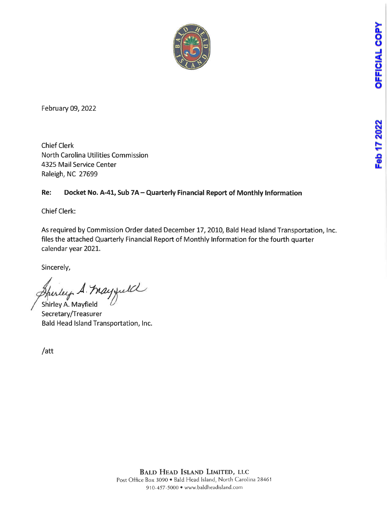Feb 17 2022



February 09, 2022

Chief Clerk North Carolina Utilities Commission 4325 Mail Service Center Raleigh, NC 27699

### Re: Docket No. A-41, Sub 7A - Quarterly Financial Report of Monthly Information

Chief Clerk:

As required by Commission Order dated December 17, 2010, Bald Head Island Transportation, Inc. files the attached Quarterly Financial Report of Monthly Information for the fourth quarter calendar year 2021.

Sincerely,

perley A. May juild Shirley A. Mayfield

Secretary/Treasurer Bald Head Island Transportation, Inc.

/att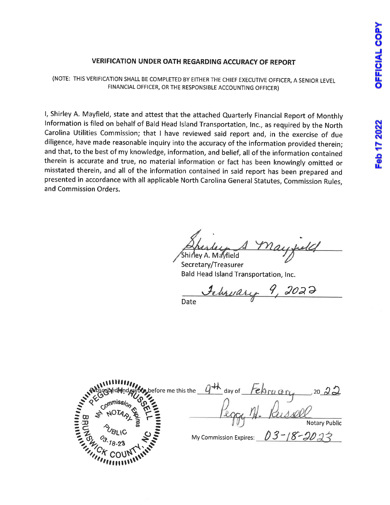# Feb 17 2022

## VERIFICATION UNDER OATH REGARDING ACCURACY OF REPORT

(NOTE: THIS VERIFICATION SHALL BE COMPLETED BY EITHER THE CHIEF EXECUTIVE OFFICER, A SENIOR LEVEL FINANCIAL OFFICER, OR THE RESPONSIBLE ACCOUNTING OFFICER)

I, Shirley A. Mayfield, state and attest that the attached Quarterly Financial Report of Monthly Information is filed on behalf of Bald Head Island Transportation, Inc., as required by the North Carolina Utilities Commission; that I have reviewed said report and, in the exercise of due diligence, have made reasonable inquiry into the accuracy of the information provided therein; and that, to the best of my knowledge, information, and belief, all of the information contained therein is accurate and true, no material information or fact has been knowingly omitted or misstated therein, and all of the information contained in said report has been prepared and presented in accordance with all applicable North Carolina General Statutes, Commission Rules, and Commission Orders.

Shirley A. Mayfield

Secretary/Treasurer Bald Head Island Transportation, Inc.

Ebruary 9, 2022 Date

**NUMBER PubschoedHud Sworm, before** New York William **Commission Cine PUBL** efore me this the  $q+h$  day of  $\overline{f}e$  or  $q_{n}$ , 20  $\Xi \boxdot$  $\frac{1}{2}$   $\frac{1}{2}$   $\frac{1}{2}$   $\frac{1}{2}$   $\frac{1}{2}$   $\frac{1}{2}$   $\frac{1}{2}$  $\frac{1}{2}$   $\frac{7}{9}$   $\frac{9}{3}$ sailes  $\frac{N_c}{N_{\ell}}$ E SUBLIC ON THE 22 My Commission Expires: Notary Public  $03 - 18 - 2023$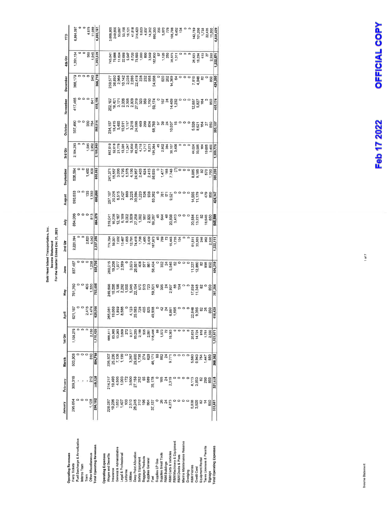|                                 | January                             | February        | March                               | ិដ<br>កូ  | April                                                                                           | Мау                                     | <b>Sune</b>                                                                                                                                                                                                                                                                                         | 2nd Ctr                            | 言                                                                                          | August                                                                                                  | September                | 3rd Chr                                                                                | <b>D</b> ctober                                                                   | November               | December                                                                                                                                                                                                                                                                                                                                                                                                                                                                                                            | 1th Ctr                                                                                                                      | Ê                                            |
|---------------------------------|-------------------------------------|-----------------|-------------------------------------|-----------|-------------------------------------------------------------------------------------------------|-----------------------------------------|-----------------------------------------------------------------------------------------------------------------------------------------------------------------------------------------------------------------------------------------------------------------------------------------------------|------------------------------------|--------------------------------------------------------------------------------------------|---------------------------------------------------------------------------------------------------------|--------------------------|----------------------------------------------------------------------------------------|-----------------------------------------------------------------------------------|------------------------|---------------------------------------------------------------------------------------------------------------------------------------------------------------------------------------------------------------------------------------------------------------------------------------------------------------------------------------------------------------------------------------------------------------------------------------------------------------------------------------------------------------------|------------------------------------------------------------------------------------------------------------------------------|----------------------------------------------|
| <b>Operating Revenues</b>       |                                     |                 |                                     |           |                                                                                                 |                                         |                                                                                                                                                                                                                                                                                                     |                                    |                                                                                            |                                                                                                         |                          |                                                                                        |                                                                                   |                        |                                                                                                                                                                                                                                                                                                                                                                                                                                                                                                                     |                                                                                                                              |                                              |
| Ferry Tickets                   | 295,054                             | 309,316         | 503,906                             | 1,108,276 | ë<br>$\overline{62}$                                                                            | 761,760                                 | 837,467                                                                                                                                                                                                                                                                                             | 2,220,394                          | 884,066                                                                                    | 693,633                                                                                                 | 606,594                  | 2,184,293                                                                              | 567,490                                                                           | 417,465                | 366,179                                                                                                                                                                                                                                                                                                                                                                                                                                                                                                             | ,351,134                                                                                                                     | 6,864,097                                    |
| Fuel Surcharge & Arnortization  |                                     |                 |                                     |           |                                                                                                 |                                         |                                                                                                                                                                                                                                                                                                     |                                    |                                                                                            |                                                                                                         |                          |                                                                                        |                                                                                   |                        |                                                                                                                                                                                                                                                                                                                                                                                                                                                                                                                     |                                                                                                                              |                                              |
| Interco Tram                    |                                     |                 |                                     |           |                                                                                                 | ္ ၁ မွ မွ်<br>၁ ဝ မွ မွ်                |                                                                                                                                                                                                                                                                                                     |                                    |                                                                                            |                                                                                                         |                          |                                                                                        |                                                                                   |                        | 。。                                                                                                                                                                                                                                                                                                                                                                                                                                                                                                                  |                                                                                                                              |                                              |
| Train                           |                                     |                 |                                     |           |                                                                                                 |                                         |                                                                                                                                                                                                                                                                                                     | 2,820<br>4,042                     |                                                                                            |                                                                                                         | 1,460<br>809             |                                                                                        |                                                                                   |                        |                                                                                                                                                                                                                                                                                                                                                                                                                                                                                                                     |                                                                                                                              | 4,975                                        |
| Other Miscellaneous             | 1,128                               | 212             | 810                                 | 2,150     |                                                                                                 |                                         | 1,238                                                                                                                                                                                                                                                                                               |                                    | 813                                                                                        | 135<br>1,330                                                                                            |                          | 1,5952<br>2,952                                                                        | 564<br>264                                                                        | 541                    | 540                                                                                                                                                                                                                                                                                                                                                                                                                                                                                                                 | 88<br>88<br>98                                                                                                               | 11,089                                       |
| <b>Total Operating Revenues</b> | 296,182                             | 309.528         | 504,716                             | 1,110,426 |                                                                                                 | 763,495                                 | 838,709                                                                                                                                                                                                                                                                                             | 2,227,256                          | 884,879                                                                                    | 695,098                                                                                                 | 608,863                  | 2,188,840                                                                              | 568,814                                                                           | 418,106                | 366,719                                                                                                                                                                                                                                                                                                                                                                                                                                                                                                             | 1,353,639                                                                                                                    | 6,880,161                                    |
| <b>Operating Expenses</b>       |                                     |                 |                                     |           |                                                                                                 |                                         |                                                                                                                                                                                                                                                                                                     |                                    |                                                                                            |                                                                                                         |                          |                                                                                        |                                                                                   |                        |                                                                                                                                                                                                                                                                                                                                                                                                                                                                                                                     |                                                                                                                              |                                              |
| Wages and Benefits              |                                     | 214,217         |                                     | 668,811   |                                                                                                 |                                         |                                                                                                                                                                                                                                                                                                     |                                    |                                                                                            |                                                                                                         |                          |                                                                                        |                                                                                   |                        |                                                                                                                                                                                                                                                                                                                                                                                                                                                                                                                     |                                                                                                                              |                                              |
| hsurance                        | 228,087<br>19,236<br>1,652<br>1,407 | 19,493<br>4,503 | 226,507<br>25,236<br>7,199<br>1,199 | 63,965    |                                                                                                 |                                         | 190,015<br>19,236<br>19,568<br>2,588                                                                                                                                                                                                                                                                |                                    | ភ្នំ ដែលមាន ដែលមាន ដែលមាន<br>មាន ដែលមាន ដែលមាន ដែលមាន<br>ក្នុង ដែលមាន ដែលមាន ដែលមាន ដែលមាន | ទី និង មិន ដូចខ្លួន ដូចខ្លួន ដូច<br>ខ្លួន ដូចខ្លួន ដូចខ្លួន ដូចខ្លួន ដូច<br>ខ្លួន ដូចខ្លួន ដូចខ្លួន ដូច |                          | 11,518<br>2011,718,830,820,820,821<br>2012,830,830,820,821<br>2012,830,820,821,821,844 | ត្ត<br>ភូមិមិនដុក្តីមិនទី ខ្លួន ខ្លួន ខ្លួន<br>កូមិនដុក្តីមិនទី ខ្លួន ខ្លួន ខ្លួន |                        | $\begin{array}{l} \mathop{\triangleright\sup}_{\mathop{\mathbb{G}}\nolimits\limits^{\mathop{\mathbb{G}}\nolimits}}\mathop{\mathbb{G}}\nolimits\limits^{\mathop{\mathbb{G}}\nolimits}_{\mathop{\mathbb{G}}\nolimits} \mathop{\mathbb{G}}\nolimits\limits^{\mathop{\mathbb{G}}\nolimits}_{\mathop{\mathbb{G}}\nolimits}} \mathop{\mathbb{G}}\nolimits\limits^{\mathop{\mathbb{G}}\nolimits}_{\mathop{\mathbb{G}}\nolimits} \mathop{\mathbb{G}}\nolimits\limits^{\mathop{\mathbb{G}}\nolimits}_{\mathop{\mathbb{G}}\n$ | 145,847<br>15,868,547,638,998,858,577,688,847<br>15,848,547,688,998,578,589,577,689,577,689,599,599,599,599,599,599,599,599, | <b>06,966</b><br>249,850<br>នឹង នឹង 21<br>ខែ |
| General & Administrative        |                                     |                 |                                     | 13,263    |                                                                                                 |                                         |                                                                                                                                                                                                                                                                                                     |                                    |                                                                                            |                                                                                                         |                          |                                                                                        |                                                                                   |                        |                                                                                                                                                                                                                                                                                                                                                                                                                                                                                                                     |                                                                                                                              |                                              |
| egal & Professional             |                                     | 1,003           |                                     | 3,609     |                                                                                                 |                                         |                                                                                                                                                                                                                                                                                                     |                                    |                                                                                            |                                                                                                         |                          |                                                                                        |                                                                                   |                        |                                                                                                                                                                                                                                                                                                                                                                                                                                                                                                                     |                                                                                                                              |                                              |
| <b>Jniforms</b>                 | ğ                                   | is<br>1         |                                     | 272       |                                                                                                 |                                         |                                                                                                                                                                                                                                                                                                     |                                    |                                                                                            |                                                                                                         |                          |                                                                                        |                                                                                   |                        |                                                                                                                                                                                                                                                                                                                                                                                                                                                                                                                     |                                                                                                                              |                                              |
| Jtilities                       | 2,510<br>26,245                     | 3,500<br>27,158 |                                     | 9,377     |                                                                                                 |                                         |                                                                                                                                                                                                                                                                                                     |                                    |                                                                                            |                                                                                                         |                          |                                                                                        |                                                                                   |                        |                                                                                                                                                                                                                                                                                                                                                                                                                                                                                                                     |                                                                                                                              |                                              |
| Deep Point Allocation           |                                     |                 | 3,267<br>29,800<br>1,735            | 83,203    |                                                                                                 |                                         |                                                                                                                                                                                                                                                                                                     |                                    |                                                                                            |                                                                                                         |                          |                                                                                        |                                                                                   |                        |                                                                                                                                                                                                                                                                                                                                                                                                                                                                                                                     |                                                                                                                              |                                              |
| Safety Equipment                | 212                                 | 252             |                                     | 2,199     |                                                                                                 |                                         | $\begin{array}{c} 23.83 \\ 23.83 \\ 23.83 \\ 24.83 \\ 25.83 \\ 26.83 \\ 27.83 \\ 28.83 \\ 29.83 \\ 23.83 \\ 23.83 \\ 23.83 \\ 23.83 \\ 23.83 \\ 23.83 \\ 23.83 \\ 23.83 \\ 23.83 \\ 23.83 \\ 23.83 \\ 23.83 \\ 23.83 \\ 23.83 \\ 23.83 \\ 23.83 \\ 23.83 \\ 23.83 \\ 23.83 \\ 23.83 \\ 23.83 \\ 23$ |                                    |                                                                                            |                                                                                                         |                          |                                                                                        |                                                                                   |                        |                                                                                                                                                                                                                                                                                                                                                                                                                                                                                                                     |                                                                                                                              |                                              |
| Baggage Products                | 196                                 | 8               | 274<br>628<br>46,171                | 535       |                                                                                                 |                                         |                                                                                                                                                                                                                                                                                                     |                                    |                                                                                            |                                                                                                         |                          |                                                                                        |                                                                                   |                        |                                                                                                                                                                                                                                                                                                                                                                                                                                                                                                                     |                                                                                                                              |                                              |
| <b>Supplies General</b>         | 864                                 | 589             |                                     | 2,081     |                                                                                                 |                                         |                                                                                                                                                                                                                                                                                                     |                                    |                                                                                            |                                                                                                         |                          |                                                                                        |                                                                                   |                        |                                                                                                                                                                                                                                                                                                                                                                                                                                                                                                                     |                                                                                                                              |                                              |
| Fuel                            | 37,137                              | 35,178          |                                     | 118,486   |                                                                                                 |                                         |                                                                                                                                                                                                                                                                                                     |                                    |                                                                                            |                                                                                                         |                          |                                                                                        |                                                                                   |                        |                                                                                                                                                                                                                                                                                                                                                                                                                                                                                                                     |                                                                                                                              |                                              |
| Supplies LP Gas                 |                                     |                 | 8                                   | 8         |                                                                                                 |                                         |                                                                                                                                                                                                                                                                                                     |                                    |                                                                                            |                                                                                                         |                          |                                                                                        |                                                                                   |                        |                                                                                                                                                                                                                                                                                                                                                                                                                                                                                                                     |                                                                                                                              |                                              |
| Supplies Small Tools            | 8<br>24                             | 165             | 882                                 | 1,073     |                                                                                                 |                                         |                                                                                                                                                                                                                                                                                                     |                                    |                                                                                            |                                                                                                         |                          | 45<br>2,902<br>2,984                                                                   |                                                                                   |                        |                                                                                                                                                                                                                                                                                                                                                                                                                                                                                                                     |                                                                                                                              |                                              |
| R&M Buildings                   |                                     |                 |                                     |           |                                                                                                 |                                         |                                                                                                                                                                                                                                                                                                     |                                    | a 2 a                                                                                      |                                                                                                         |                          |                                                                                        |                                                                                   |                        |                                                                                                                                                                                                                                                                                                                                                                                                                                                                                                                     |                                                                                                                              |                                              |
| R&M Carts & Vehicles            | 4,273                               | 2,319           | 9,771                               | 16,363    |                                                                                                 |                                         |                                                                                                                                                                                                                                                                                                     |                                    | 20,838<br>3,413                                                                            |                                                                                                         |                          |                                                                                        |                                                                                   |                        |                                                                                                                                                                                                                                                                                                                                                                                                                                                                                                                     |                                                                                                                              |                                              |
| R&M Machinery & Equipment       |                                     |                 |                                     |           |                                                                                                 |                                         |                                                                                                                                                                                                                                                                                                     |                                    |                                                                                            |                                                                                                         |                          | 38,107<br>3,406                                                                        |                                                                                   |                        |                                                                                                                                                                                                                                                                                                                                                                                                                                                                                                                     | 38,875<br>1,311                                                                                                              |                                              |
| R&M Docks & Piers               |                                     |                 |                                     |           |                                                                                                 |                                         |                                                                                                                                                                                                                                                                                                     |                                    |                                                                                            |                                                                                                         |                          |                                                                                        |                                                                                   |                        |                                                                                                                                                                                                                                                                                                                                                                                                                                                                                                                     |                                                                                                                              |                                              |
| Marina Maintenance Reserve      |                                     |                 |                                     |           |                                                                                                 |                                         |                                                                                                                                                                                                                                                                                                     |                                    |                                                                                            |                                                                                                         |                          |                                                                                        |                                                                                   |                        |                                                                                                                                                                                                                                                                                                                                                                                                                                                                                                                     |                                                                                                                              |                                              |
| Dredging                        |                                     |                 |                                     |           |                                                                                                 |                                         |                                                                                                                                                                                                                                                                                                     |                                    |                                                                                            |                                                                                                         | $\circ \circ \circ$      |                                                                                        |                                                                                   |                        |                                                                                                                                                                                                                                                                                                                                                                                                                                                                                                                     |                                                                                                                              | $\overline{a}$                               |
| R&M Ferries                     | 6,838                               | 8,113           | 5,680                               | 20,631    | $\frac{88}{30}$ $\frac{88}{30}$ $\frac{88}{30}$ $\frac{82}{30}$ $\frac{82}{30}$ $\frac{82}{30}$ | $1.388$<br>$1.348$<br>$1.348$<br>$0.50$ | ្ត្រី<br>សូម និង<br>ដូច និង                                                                                                                                                                                                                                                                         |                                    | 20,584<br>13,221                                                                           | 14,555<br>11,179                                                                                        |                          |                                                                                        |                                                                                   |                        |                                                                                                                                                                                                                                                                                                                                                                                                                                                                                                                     |                                                                                                                              |                                              |
| Credit Card                     | 3,928                               | 3,853           | 6,943                               | 14,724    |                                                                                                 |                                         |                                                                                                                                                                                                                                                                                                     |                                    |                                                                                            |                                                                                                         |                          |                                                                                        |                                                                                   |                        |                                                                                                                                                                                                                                                                                                                                                                                                                                                                                                                     |                                                                                                                              |                                              |
| Equipment Rental                | 8                                   | 2               | 754                                 | 918       |                                                                                                 |                                         |                                                                                                                                                                                                                                                                                                     |                                    | 82                                                                                         |                                                                                                         |                          |                                                                                        |                                                                                   | 12,887<br>5,827<br>164 |                                                                                                                                                                                                                                                                                                                                                                                                                                                                                                                     |                                                                                                                              |                                              |
| Taxes Licenses & Permits        | 14                                  | 290             | 1,447                               | 1,751     |                                                                                                 |                                         |                                                                                                                                                                                                                                                                                                     | 51,511<br>33,628<br>5,550<br>2,550 | 18,646<br>850                                                                              | 479<br>850                                                                                              | 885<br>876<br>876<br>888 | 44,024<br>33,585<br>19,695<br>3,400                                                    | ន្លី<br>ខូន ទី និ<br>ត្                                                           |                        | 도 용 없 ㅇ<br>도 용 없 ㅇ<br>ㅜ <del>ㅜ</del>                                                                                                                                                                                                                                                                                                                                                                                                                                                                                |                                                                                                                              | 142,789<br>101,208<br>1,738<br>22,435        |
| Signage                         | 550                                 |                 | 850                                 | 2.550     |                                                                                                 |                                         |                                                                                                                                                                                                                                                                                                     |                                    |                                                                                            |                                                                                                         |                          |                                                                                        |                                                                                   | 850                    |                                                                                                                                                                                                                                                                                                                                                                                                                                                                                                                     | 26,623<br>19,294<br>19,27<br>2,550                                                                                           | 11,050                                       |
| Total Operating Expenses        | 333,681                             | 321,928         | 368,362                             | 1,023,971 |                                                                                                 | 397,364                                 | 106,319                                                                                                                                                                                                                                                                                             | ,222,111                           | 545,599                                                                                    | 424,947                                                                                                 | 389,230                  | ,359,776                                                                               | 393,107                                                                           | 105,174                | 850<br>424,290                                                                                                                                                                                                                                                                                                                                                                                                                                                                                                      | ,222,57                                                                                                                      | 4,828,429                                    |
|                                 |                                     |                 |                                     |           |                                                                                                 |                                         |                                                                                                                                                                                                                                                                                                     |                                    |                                                                                            |                                                                                                         |                          |                                                                                        |                                                                                   |                        |                                                                                                                                                                                                                                                                                                                                                                                                                                                                                                                     |                                                                                                                              |                                              |

Bald Head Island Transportation, Inc.<br>Income Statement<br>For the Quarter Ended Dec 31, 2021

OFFICIAL COPY Feb 17 2022

1 of  $7$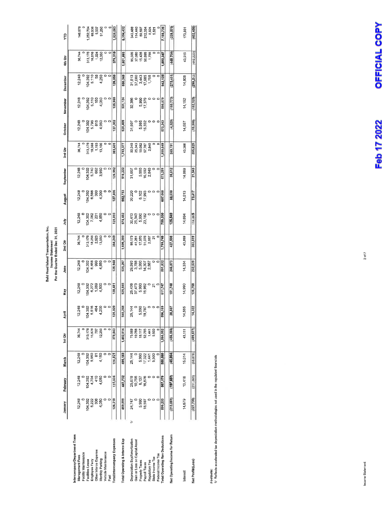Bald Head Island Transportation, Inc.<br>Income Statement<br>For the Quarter Ended Dec 31, 2021

|                                       | January    | February         | March     | 1st Chr          | April                                             | Мау                                      | June                                           | $2nd$ Chr                                      | 言                                    | August                            | September                                 | 3rd Qtr                              | October         | November                                                                                                                                                                                                                                                                                                      | December                                | 4th Ctr                              | Ê                                       |
|---------------------------------------|------------|------------------|-----------|------------------|---------------------------------------------------|------------------------------------------|------------------------------------------------|------------------------------------------------|--------------------------------------|-----------------------------------|-------------------------------------------|--------------------------------------|-----------------|---------------------------------------------------------------------------------------------------------------------------------------------------------------------------------------------------------------------------------------------------------------------------------------------------------------|-----------------------------------------|--------------------------------------|-----------------------------------------|
|                                       |            |                  |           |                  |                                                   |                                          |                                                |                                                |                                      |                                   |                                           |                                      |                 |                                                                                                                                                                                                                                                                                                               |                                         |                                      |                                         |
| Intercompany/Department Trans         |            |                  |           |                  |                                                   |                                          |                                                |                                                |                                      |                                   |                                           |                                      |                 |                                                                                                                                                                                                                                                                                                               |                                         |                                      |                                         |
| Management Fees                       | 12,248     | 12,248           | 12,248    | 36,744           |                                                   | 12,248                                   | 12,248                                         | 36,744                                         | 12,248                               | 12,248                            | 12,248                                    | 36,744                               |                 |                                                                                                                                                                                                                                                                                                               | 12,248                                  | 36,744                               | 146,976                                 |
| Facility Maintenance                  |            |                  |           |                  |                                                   |                                          |                                                |                                                |                                      |                                   |                                           |                                      |                 |                                                                                                                                                                                                                                                                                                               |                                         |                                      |                                         |
| Facilities Lease                      | 104,392    | 04,392           | 04,392    | 313,176          | 104                                               |                                          |                                                |                                                |                                      |                                   |                                           |                                      |                 |                                                                                                                                                                                                                                                                                                               |                                         |                                      | 252,704                                 |
| Employee Ferry                        | 5,222      | 4,704            | 5,950     | 15,876           |                                                   |                                          |                                                |                                                |                                      |                                   |                                           |                                      |                 |                                                                                                                                                                                                                                                                                                               |                                         |                                      |                                         |
| Other Interco Expense                 | 306        | $\frac{10}{4}$   | 5         | 797              |                                                   |                                          |                                                | 178<br>18258<br>2823<br>19550                  |                                      |                                   |                                           |                                      |                 |                                                                                                                                                                                                                                                                                                               |                                         |                                      |                                         |
| Monthly Parking                       | 4,050      | 4,050            | 4,150     | 12,250           | 12,248<br>12,355,499<br>12,554,200                | 0<br>1392<br>1392<br>14,500<br>4,500     | 04,392<br>6,468<br>6,468<br>4,850<br>4,850     |                                                | 0<br>1392<br>1308<br>14,850<br>4,850 | 04,392<br>6,566<br>6,500<br>4,300 | 04,392<br>5,740<br>5,850<br>9,950<br>9,00 | 13,176<br>19,388<br>13,100<br>13,100 |                 | $\begin{array}{c} 12.38 \\ 2.392 \\ 2.392 \\ 2.55 \\ 2.55 \\ 2.55 \\ 2.55 \\ 2.55 \\ 2.55 \\ 2.55 \\ 2.55 \\ 2.55 \\ 2.55 \\ 2.55 \\ 2.55 \\ 2.55 \\ 2.55 \\ 2.55 \\ 2.55 \\ 2.55 \\ 2.55 \\ 2.55 \\ 2.55 \\ 2.55 \\ 2.55 \\ 2.55 \\ 2.55 \\ 2.55 \\ 2.55 \\ 2.55 \\ 2.55 \\ 2.55 \\ 2.55 \\ 2.55 \\ 2.55 \\$ | 0<br>104,392<br>5,110<br>5,250<br>4,250 | 313,176<br>16,016<br>1.024<br>12,350 | 69,536<br>5,537<br>51,250               |
| Vehicle Maintenance                   |            |                  |           |                  |                                                   |                                          |                                                |                                                |                                      |                                   |                                           |                                      |                 |                                                                                                                                                                                                                                                                                                               |                                         |                                      | $\circ$                                 |
| Fuel                                  |            |                  |           |                  |                                                   |                                          |                                                |                                                |                                      |                                   |                                           |                                      |                 |                                                                                                                                                                                                                                                                                                               |                                         |                                      |                                         |
| Total Intercompany Expenses           | 126,218    | 125,804          | 126,821   | 378,843          | ခြွ<br>126,                                       | 128,481                                  | 128,948                                        | 384,249                                        | 128,803                              | 127,806                           | 126,992                                   | 383,6D1                              | 127,302         | 125,950                                                                                                                                                                                                                                                                                                       | 126,058                                 | 379,310                              | 1,526,003                               |
|                                       |            |                  |           |                  |                                                   |                                          |                                                |                                                |                                      |                                   |                                           |                                      |                 |                                                                                                                                                                                                                                                                                                               |                                         |                                      |                                         |
| Total Operating & Interco Exp         | 459,899    | 447,732          | 495,183   | 1,402,814        | 248<br>545.                                       | 525,845                                  | 535,267                                        | ,606,360                                       | 674,402                              | 552,753                           | 516,222                                   | ,743,377                             | 520,409         | 531,124                                                                                                                                                                                                                                                                                                       | 550,348                                 | ,601,881                             | 6,354,432                               |
| ≑<br>Depreciation Exp/Amortization    | 24,747     |                  | 25,144    | 75,569           | 25,1                                              |                                          |                                                |                                                |                                      | 30,220                            | 31,607                                    |                                      | 31,507          | 32,386                                                                                                                                                                                                                                                                                                        |                                         |                                      |                                         |
| Gain or Loss on Capital Asset         |            | 25,678<br>10,756 |           | 10,756           |                                                   |                                          |                                                |                                                |                                      |                                   |                                           |                                      |                 |                                                                                                                                                                                                                                                                                                               |                                         |                                      |                                         |
| Property Taxes                        | 5,990      | 6,137<br>16,876  | 5,990     | 18,117<br>52,795 | 25,144<br>- 0.990 0<br>- 0.970 0<br>- 0.970 0.971 | 35,473<br>36,988 0<br>37,5988 0<br>50,98 | 88<br>88 8 9 9 9 8<br>8 9 9 9 8 8<br>8 9 9 9 1 | 80,173<br>41,261<br>41,970<br>51,076<br>51,087 | 3538<br>3538<br>3558                 | 6,102<br>17,993                   |                                           | 8240<br>25,343<br>26,767<br>2,840    | 5,995<br>15,332 |                                                                                                                                                                                                                                                                                                               | 212082<br>212082<br>212082              | 95,508<br>37,080<br>15,428<br>50,696 | 343,488<br>114,440<br>68,597<br>212,334 |
| Payroll Taxes                         | 18,597     |                  | 17,322    |                  |                                                   |                                          |                                                |                                                |                                      |                                   | ទ្លួង ខូច<br>ចំនួង<br>ស្ថិត               |                                      |                 | 5,990<br>17,379                                                                                                                                                                                                                                                                                               |                                         |                                      |                                         |
| Regulatory Fee                        |            |                  | 1,441     | 1,441<br>5,500   |                                                   |                                          |                                                |                                                |                                      |                                   |                                           |                                      |                 |                                                                                                                                                                                                                                                                                                               |                                         | 1,756                                |                                         |
| State Income Tax                      |            |                  | 5,500     |                  |                                                   |                                          |                                                |                                                |                                      |                                   |                                           |                                      |                 |                                                                                                                                                                                                                                                                                                               |                                         |                                      | 8,924<br>5,521                          |
| Federal Income Tax                    |            |                  |           |                  |                                                   |                                          |                                                |                                                |                                      |                                   |                                           |                                      |                 |                                                                                                                                                                                                                                                                                                               |                                         |                                      |                                         |
| <b>Total Operating Rev Deductions</b> | 509,233    | 507,179          | 550,580   | 1,566,992        | ,169<br>596,                                      | 611,747                                  | 591,832                                        | 1,799,748                                      | 759,330                              | 607,068                           | 573,251                                   | ,939,649                             | 573,343         | 586,879                                                                                                                                                                                                                                                                                                       | 642,125                                 | 802,347                              | 7,108,736                               |
|                                       |            |                  |           |                  |                                                   |                                          |                                                |                                                |                                      |                                   |                                           |                                      |                 |                                                                                                                                                                                                                                                                                                               |                                         |                                      |                                         |
| Net Operating Income for Return       | (213, 051) | (197, 651)       | (45,864)  | (456,566)        | 28,887                                            | 151,748                                  | 246,873                                        | 427,508                                        | 125,549                              | 88,030                            | 35,612                                    | 249,191                              | (4, 529)        | (168, 773)                                                                                                                                                                                                                                                                                                    | 275,406                                 | 448,708                              | 228,575                                 |
|                                       |            |                  |           |                  |                                                   |                                          |                                                |                                                |                                      |                                   |                                           |                                      |                 |                                                                                                                                                                                                                                                                                                               |                                         |                                      |                                         |
| Interest                              | 14,679     | 13,418           | 15,014    | 43,111           | 14,565                                            | 14,990                                   | 14,334                                         | 43,889                                         | 14,684                               | 14,613                            | 14,069                                    | 43,366                               | 14,557          | 14,152                                                                                                                                                                                                                                                                                                        | 14,806                                  | 43,515                               | 173,881                                 |
| Net Profit/(Loss)                     | (227, 730) | (211,069)        | (60, 878) | (499,677)        | 322<br>14,                                        | 136,758                                  | 232,539                                        | 383,519                                        | 110,865                              | 73,417                            | 21,543                                    | 205,825                              | (19,086)        | 182,925                                                                                                                                                                                                                                                                                                       | 290,212)                                | 492.223)                             | 402,456)                                |
|                                       |            |                  |           |                  |                                                   |                                          |                                                |                                                |                                      |                                   |                                           |                                      |                 |                                                                                                                                                                                                                                                                                                               |                                         |                                      |                                         |

Footnote:<br>1/ Reflects accelerated tax depreciation methodologies not used in the regulated financials

OFFICIAL COPY Feb 17 2022

 $2$  of  $7$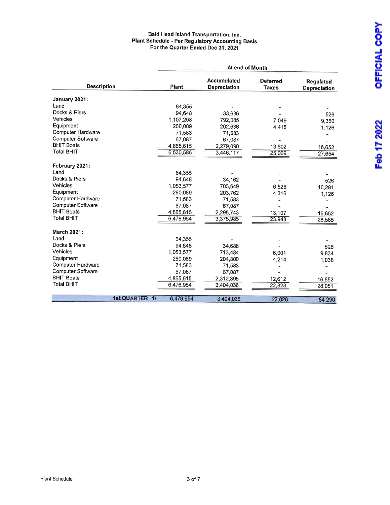#### Bald Head Island Transportation, Inc. Plant Schedule - Per Regulatory Accounting Basis For the Quarter Ended Dec 31, 2021

|                          |                |           | At end of Month                           |                                 |                                         |
|--------------------------|----------------|-----------|-------------------------------------------|---------------------------------|-----------------------------------------|
| <b>Description</b>       |                | Plant     | <b>Accumulated</b><br><b>Depreciation</b> | <b>Deferred</b><br><b>Taxes</b> | <b>Requlated</b><br><b>Depreciation</b> |
| January 2021:            |                |           |                                           |                                 |                                         |
| Land                     |                | 64,355    |                                           |                                 |                                         |
| Docks & Piers            |                | 94.648    | 33,636                                    |                                 | 526                                     |
| <b>Vehicles</b>          |                | 1.107.208 | 792,085                                   | 7,049                           | 9.350                                   |
| Equipment                |                | 260,089   | 202,636                                   | 4,418                           | 1,126                                   |
| Computer Hardware        |                | 71,583    | 71,583                                    |                                 |                                         |
| <b>Computer Software</b> |                | 67,087    | 67,087                                    |                                 |                                         |
| <b>BHIT Boats</b>        |                | 4,865,615 | 2,279,090                                 | 13,602                          | 16,652                                  |
| <b>Total BHIT</b>        |                | 6,530,585 | 3,446,117                                 | 25,069                          | 27,654                                  |
| February 2021:           |                |           |                                           |                                 |                                         |
| Land                     |                | 64,355    |                                           |                                 |                                         |
| Docks & Piers            |                | 94.648    | 34,162                                    |                                 | 526                                     |
| <b>Vehicles</b>          |                | 1,053,577 | 703,649                                   | 6.525                           | 10,281                                  |
| Equipment                |                | 260,089   | 203.762                                   | 4,316                           | 1,126                                   |
| Computer Hardware        |                | 71,583    | 71,583                                    |                                 |                                         |
| Computer Software        |                | 67.087    | 67,087                                    |                                 |                                         |
| <b>BHIT Boats</b>        |                | 4,865,615 | 2,295,743                                 | 13,107                          | 16,652                                  |
| <b>Total BHIT</b>        |                | 6,476,954 | 3,375,985                                 | 23,948                          | 28,585                                  |
| <b>March 2021:</b>       |                |           |                                           |                                 |                                         |
| Land                     |                | 64,355    |                                           |                                 |                                         |
| Docks & Piers            |                | 94,648    | 34.688                                    |                                 | 526                                     |
| Vehicles                 |                | 1,053,577 | 713,484                                   | 6,001                           | 9,834                                   |
| Equipment                |                | 260,089   | 204,800                                   | 4,214                           | 1,038                                   |
| <b>Computer Hardware</b> |                | 71,583    | 71,583                                    |                                 |                                         |
| Computer Software        |                | 67,087    | 67,087                                    |                                 |                                         |
| <b>BHIT Boats</b>        |                | 4,865,615 | 2,312,395                                 | 12,612                          | 16,652                                  |
| <b>Total BHIT</b>        |                | 6,476,954 | 3,404,036                                 | 22,828                          | 28,051                                  |
|                          |                |           |                                           |                                 |                                         |
|                          | 1st QUARTER 1/ | 6,476,954 | 3,404,036                                 | 22,828                          | 84,290                                  |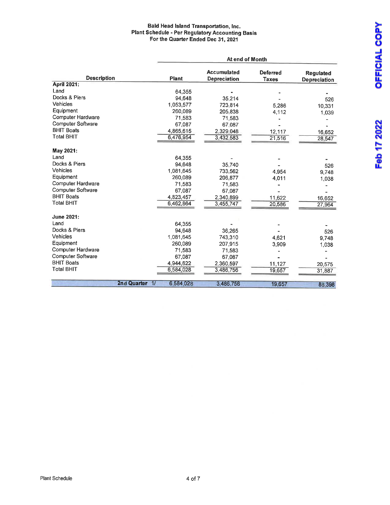#### Bald Head Island Transportation, Inc. Plant Schedule - Per Regulatory Accounting Basis cor the Quarter Ended Dec 31, 2021

|                          |                |           | At end of Month                           |                                 |                                  |
|--------------------------|----------------|-----------|-------------------------------------------|---------------------------------|----------------------------------|
| <b>Description</b>       |                | Plant     | <b>Accumulated</b><br><b>Depreciation</b> | <b>Deferred</b><br><b>Taxes</b> | <b>Regulated</b><br>Depreciation |
| April 2021:              |                |           |                                           |                                 |                                  |
| Land                     |                | 64,355    |                                           |                                 |                                  |
| Docks & Piers            |                | 94.648    | 35,214                                    |                                 | 526                              |
| Vehicles                 |                | 1,053,577 | 723,814                                   | 5,286                           | 10,331                           |
| Equipment                |                | 260,089   | 205,838                                   | 4,112                           | 1,039                            |
| Computer Hardware        |                | 71,583    | 71,583                                    |                                 |                                  |
| Computer Software        |                | 67,087    | 67,087                                    |                                 |                                  |
| <b>BHIT Boats</b>        |                | 4,865,615 | 2,329.048                                 | 12,117                          | 16,652                           |
| <b>Total BHIT</b>        |                | 6,476,954 | 3,432,583                                 | 21,516                          | 28,547                           |
| May 2021:                |                |           |                                           |                                 |                                  |
| Land                     |                | 64,355    |                                           |                                 |                                  |
| Docks & Piers            |                | 94.648    | 35,740                                    |                                 | 526                              |
| Vehicles                 |                | 1,081,645 | 733,562                                   | 4.954                           | 9,748                            |
| Equipment                |                | 260,089   | 206,877                                   | 4,011                           | 1,038                            |
| Computer Hardware        |                | 71.583    | 71,583                                    |                                 |                                  |
| Computer Software        |                | 67,087    | 67,087                                    |                                 |                                  |
| <b>BHIT Boats</b>        |                | 4,823,457 | 2,340,899                                 | 11,622                          | 16,652                           |
| <b>Total BHIT</b>        |                | 6,462,864 | 3,455,747                                 | 20,586                          | 27,964                           |
| June 2021:               |                |           |                                           |                                 |                                  |
| Land                     |                | 64.355    |                                           |                                 |                                  |
| Docks & Piers            |                | 94.648    | 36,265                                    |                                 | 526                              |
| Vehicles                 |                | 1.081.645 | 743,310                                   | 4,621                           | 9.748                            |
| Equipment                |                | 260,089   | 207,915                                   | 3.909                           |                                  |
| <b>Computer Hardware</b> |                | 71,583    | 71,583                                    |                                 | 1,038                            |
| <b>Computer Software</b> |                | 67,087    | 67,087                                    |                                 |                                  |
| <b>BHIT Boats</b>        |                | 4,944,622 | 2,360,597                                 | 11,127                          |                                  |
| <b>Total BHIT</b>        |                | 6,584,028 | 3,486,756                                 | 19,657                          | 20,575                           |
|                          |                |           |                                           |                                 | 31,887                           |
|                          | 2nd Quarter 1/ | 6,584,028 | 3,486,756                                 | 19,657                          | 88,398                           |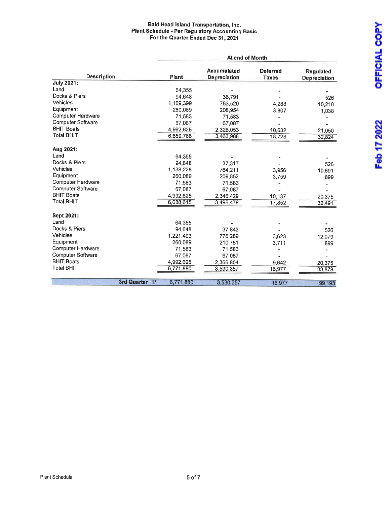#### Bald Head Island Transportation, Inc. Plant Schedule - Per Regulatory Accounting Basis For the Quarter Ended Dec 31, 2021

|                          |                |           | At end of Month                    |                                 |                                         |
|--------------------------|----------------|-----------|------------------------------------|---------------------------------|-----------------------------------------|
| <b>Description</b>       |                | Plant     | <b>Accumulated</b><br>Depreciation | <b>Deferred</b><br><b>Taxes</b> | <b>Regulated</b><br><b>Depreciation</b> |
| <b>July 2021:</b>        |                |           |                                    |                                 |                                         |
| Land                     |                | 64,355    |                                    |                                 |                                         |
| Docks & Piers            |                | 94.648    | 36,791                             |                                 | 526                                     |
| Vehicles                 |                | 1,109,399 | 753,520                            | 4,288                           | 10,210                                  |
| Equipment                |                | 260,089   | 208,954                            | 3,807                           | 1,038                                   |
| <b>Computer Hardware</b> |                | 71,583    | 71,583                             |                                 |                                         |
| Computer Software        |                | 67,087    | 67,087                             |                                 |                                         |
| <b>BHIT Boats</b>        |                | 4,992,625 | 2,326,053                          | 10,632                          | 21,050                                  |
| <b>Total BHIT</b>        |                | 6,659,786 | 3,463,988                          | 18,728                          | 32,824                                  |
| Aug 2021:                |                |           |                                    |                                 |                                         |
| Land                     |                | 64,355    |                                    |                                 |                                         |
| Docks & Piers            |                | 94,648    | 37.317                             |                                 | 526                                     |
| Vehicles                 |                | 1,138,228 | 764,211                            | 3,956                           | 10,691                                  |
| Equipment                |                | 260,089   | 209,852                            | 3,759                           | 899                                     |
| Computer Hardware        |                | 71,583    | 71,583                             |                                 |                                         |
| Computer Software        |                | 67.087    | 67,087                             |                                 |                                         |
| <b>BHIT Boats</b>        |                | 4,992,625 | 2,346,429                          | 10,137                          | 20,375                                  |
| <b>Total BHIT</b>        |                | 6,688,615 | 3,496,478                          | 17,852                          | 32,491                                  |
| Sept 2021:               |                |           |                                    |                                 |                                         |
| Land                     |                | 64.355    |                                    |                                 |                                         |
| Docks & Piers            |                | 94.648    | 37.843                             |                                 | 526                                     |
| <b>Vehicles</b>          |                | 1,221,493 | 776,289                            | 3,623                           | 12,079                                  |
| Equipment                |                | 260,089   | 210,751                            | 3,711                           | 899                                     |
| Computer Hardware        |                | 71,583    | 71,583                             |                                 |                                         |
| <b>Computer Software</b> |                | 67,087    | 67,087                             |                                 |                                         |
| <b>BHIT Boats</b>        |                | 4,992,625 | 2,366,804                          | 9.642                           | 20,375                                  |
| <b>Total BHIT</b>        |                | 6,771,880 | 3,530,357                          | 16,977                          | 33,878                                  |
|                          |                |           |                                    |                                 |                                         |
|                          | 3rd Quarter 1/ | 6,771,880 | 3,530,357                          | 16,977                          | 99,193                                  |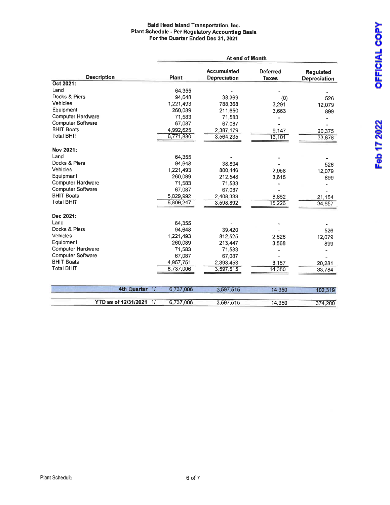#### Bald Head Island Transportation, Inc. Plant Schedule - Per Regulatory Accounting Basis For the Quarter Ended Dec 31, 2021

|                          |                |           | At end of Month                    |                                 |                                         |
|--------------------------|----------------|-----------|------------------------------------|---------------------------------|-----------------------------------------|
| <b>Description</b>       |                | Plant     | <b>Accumulated</b><br>Depreciation | <b>Deferred</b><br><b>Taxes</b> | <b>Requlated</b><br><b>Depreciation</b> |
| Oct 2021:                |                |           |                                    |                                 |                                         |
| Land                     |                | 64.355    |                                    |                                 |                                         |
| Docks & Piers            |                | 94,648    | 38,369                             | (0)                             | 526                                     |
| Vehicles                 |                | 1,221,493 | 788.368                            | 3,291                           | 12,079                                  |
| Equipment                |                | 260,089   | 211,650                            | 3,663                           | 899                                     |
| <b>Computer Hardware</b> |                | 71,583    | 71,583                             |                                 |                                         |
| <b>Computer Software</b> |                | 67,087    | 67,087                             |                                 |                                         |
| <b>BHIT Boats</b>        |                | 4,992,625 | 2,387,179                          | 9,147                           | 20,375                                  |
| Total BHIT               |                | 6,771,880 | 3,564,235                          | 16,101                          | 33,878                                  |
| Nov 2021:                |                |           |                                    |                                 |                                         |
| Land                     |                | 64,355    |                                    |                                 |                                         |
| Docks & Piers            |                | 94,648    | 38,894                             |                                 | 526                                     |
| <b>Vehicles</b>          |                | 1,221,493 | 800,446                            | 2,958                           | 12,079                                  |
| Equipment                |                | 260,089   | 212,548                            | 3,615                           | 899                                     |
| <b>Computer Hardware</b> |                | 71,583    | 71,583                             |                                 |                                         |
| <b>Computer Software</b> |                | 67,087    | 67,087                             |                                 |                                         |
| <b>BHIT Boats</b>        |                | 5,029,992 | 2,408,333                          | 8,652                           | 21,154                                  |
| <b>Total BHIT</b>        |                | 6,809,247 | 3,598,892                          | 15,226                          | 34,657                                  |
| Dec 2021:                |                |           |                                    |                                 |                                         |
| Land                     |                | 64,355    |                                    |                                 |                                         |
| Docks & Piers            |                | 94,648    | 39,420                             |                                 | 526                                     |
| Vehicles                 |                | 1,221,493 | 812,525                            | 2,626                           | 12,079                                  |
| Equipment                |                | 260,089   | 213,447                            | 3,568                           | 899                                     |
| <b>Computer Hardware</b> |                | 71,583    | 71,583                             |                                 |                                         |
| Computer Software        |                | 67,087    | 67,087                             |                                 |                                         |
| <b>BHIT Boats</b>        |                | 4,957,751 | 2,393,453                          | 8,157                           | 20,281                                  |
| <b>Total BHIT</b>        |                | 6,737,006 | 3,597,515                          | 14,350                          | 33,784                                  |
|                          |                |           |                                    |                                 |                                         |
|                          | 4th Quarter 1/ | 6,737,006 | 3,597,515                          | 14 3 5 0                        | 102,319                                 |
|                          |                |           |                                    |                                 |                                         |
| YTD as of 12/31/2021     | 11             | 6,737,006 | 3,597,515                          | 14,350                          | 374,200                                 |